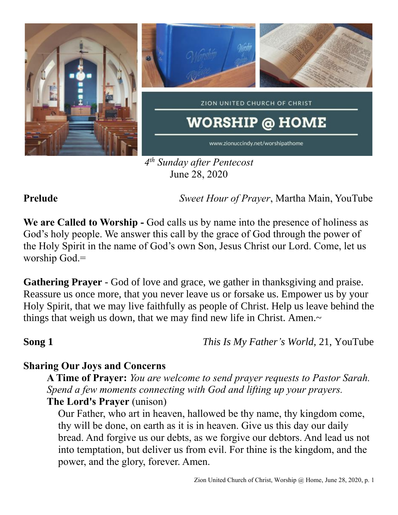

*4 th Sunday after Pentecost* June 28, 2020

**Prelude** *Sweet Hour of Prayer*, Martha Main, YouTube

**We are Called to Worship -** God calls us by name into the presence of holiness as God's holy people. We answer this call by the grace of God through the power of the Holy Spirit in the name of God's own Son, Jesus Christ our Lord. Come, let us worship God.=

**Gathering Prayer** - God of love and grace, we gather in thanksgiving and praise. Reassure us once more, that you never leave us or forsake us. Empower us by your Holy Spirit, that we may live faithfully as people of Christ. Help us leave behind the things that weigh us down, that we may find new life in Christ. Amen.~

**Song 1** *This Is My Father's World,* 21, YouTube

## **Sharing Our Joys and Concerns**

**A Time of Prayer:** *You are welcome to send prayer requests to Pastor Sarah. Spend a few moments connecting with God and lifting up your prayers.*

**The Lord's Prayer** (unison)

Our Father, who art in heaven, hallowed be thy name, thy kingdom come, thy will be done, on earth as it is in heaven. Give us this day our daily bread. And forgive us our debts, as we forgive our debtors. And lead us not into temptation, but deliver us from evil. For thine is the kingdom, and the power, and the glory, forever. Amen.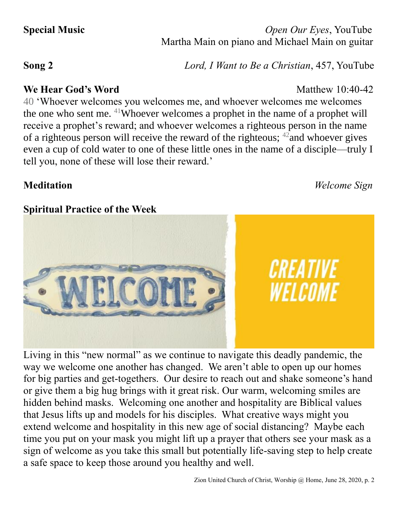**Special Music** *Open Our Eyes*, YouTube Martha Main on piano and Michael Main on guitar

**Song 2** *Lord, I Want to Be a Christian*, 457, YouTube

### **We Hear God's Word** Matthew 10:40-42

40 'Whoever welcomes you welcomes me, and whoever welcomes me welcomes the one who sent me. <sup>41</sup>Whoever welcomes a prophet in the name of a prophet will receive a prophet's reward; and whoever welcomes a righteous person in the name of a righteous person will receive the reward of the righteous; <sup>42</sup>and whoever gives even a cup of cold water to one of these little ones in the name of a disciple—truly I tell you, none of these will lose their reward.'

## **Spiritual Practice of the Week**

Living in this "new normal" as we continue to navigate this deadly pandemic, the way we welcome one another has changed. We aren't able to open up our homes for big parties and get-togethers. Our desire to reach out and shake someone's hand or give them a big hug brings with it great risk. Our warm, welcoming smiles are hidden behind masks. Welcoming one another and hospitality are Biblical values that Jesus lifts up and models for his disciples. What creative ways might you extend welcome and hospitality in this new age of social distancing? Maybe each time you put on your mask you might lift up a prayer that others see your mask as a sign of welcome as you take this small but potentially life-saving step to help create a safe space to keep those around you healthy and well.



**Meditation** *Welcome Sign*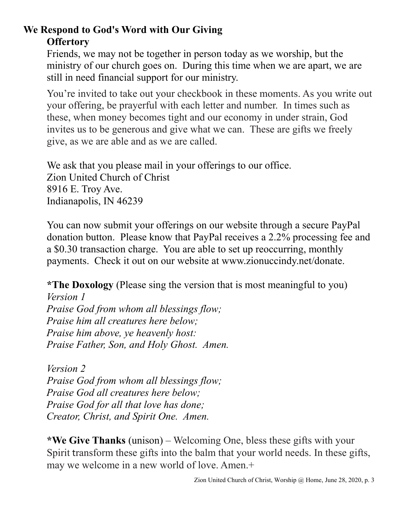# **We Respond to God's Word with Our Giving Offertory**

Friends, we may not be together in person today as we worship, but the ministry of our church goes on. During this time when we are apart, we are still in need financial support for our ministry.

You're invited to take out your checkbook in these moments. As you write out your offering, be prayerful with each letter and number. In times such as these, when money becomes tight and our economy in under strain, God invites us to be generous and give what we can. These are gifts we freely give, as we are able and as we are called.

We ask that you please mail in your offerings to our office. Zion United Church of Christ 8916 E. Troy Ave. Indianapolis, IN 46239

You can now submit your offerings on our website through a secure PayPal donation button. Please know that PayPal receives a 2.2% processing fee and a \$0.30 transaction charge. You are able to set up reoccurring, monthly payments. Check it out on our website at www.zionuccindy.net/donate.

**\*The Doxology** (Please sing the version that is most meaningful to you)

*Version 1 Praise God from whom all blessings flow; Praise him all creatures here below; Praise him above, ye heavenly host: Praise Father, Son, and Holy Ghost. Amen.*

*Version 2 Praise God from whom all blessings flow; Praise God all creatures here below; Praise God for all that love has done; Creator, Christ, and Spirit One. Amen.* 

**\*We Give Thanks** (unison) – Welcoming One, bless these gifts with your Spirit transform these gifts into the balm that your world needs. In these gifts, may we welcome in a new world of love. Amen.+